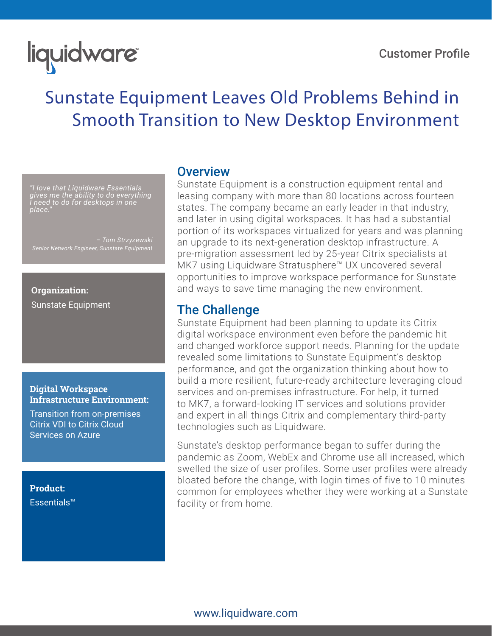#### Customer Profile

# liquidware

# Sunstate Equipment Leaves Old Problems Behind in Smooth Transition to New Desktop Environment

*"I love that Liquidware Essentials gives me the ability to do everything I need to do for desktops in one place."*

*– Tom Strzyzewski Senior Network Engineer, Sunstate Equipment*

#### **Organization:** Sunstate Equipment

#### **Digital Workspace Infrastructure Environment:**

Transition from on-premises Citrix VDI to Citrix Cloud Services on Azure

**Product:** Essentials™

### **Overview**

Sunstate Equipment is a construction equipment rental and leasing company with more than 80 locations across fourteen states. The company became an early leader in that industry, and later in using digital workspaces. It has had a substantial portion of its workspaces virtualized for years and was planning an upgrade to its next-generation desktop infrastructure. A pre-migration assessment led by 25-year Citrix specialists at MK7 using Liquidware Stratusphere™ UX uncovered several opportunities to improve workspace performance for Sunstate and ways to save time managing the new environment.

# The Challenge

Sunstate Equipment had been planning to update its Citrix digital workspace environment even before the pandemic hit and changed workforce support needs. Planning for the update revealed some limitations to Sunstate Equipment's desktop performance, and got the organization thinking about how to build a more resilient, future-ready architecture leveraging cloud services and on-premises infrastructure. For help, it turned to MK7, a forward-looking IT services and solutions provider and expert in all things Citrix and complementary third-party technologies such as Liquidware.

Sunstate's desktop performance began to suffer during the pandemic as Zoom, WebEx and Chrome use all increased, which swelled the size of user profiles. Some user profiles were already bloated before the change, with login times of five to 10 minutes common for employees whether they were working at a Sunstate facility or from home.

#### www.liquidware.com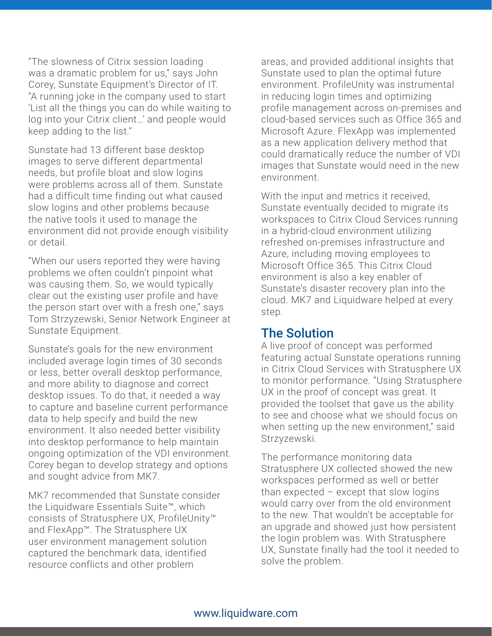"The slowness of Citrix session loading was a dramatic problem for us," says John Corey, Sunstate Equipment's Director of IT. "A running joke in the company used to start 'List all the things you can do while waiting to log into your Citrix client…' and people would keep adding to the list."

Sunstate had 13 different base desktop images to serve different departmental needs, but profile bloat and slow logins were problems across all of them. Sunstate had a difficult time finding out what caused slow logins and other problems because the native tools it used to manage the environment did not provide enough visibility or detail.

"When our users reported they were having problems we often couldn't pinpoint what was causing them. So, we would typically clear out the existing user profile and have the person start over with a fresh one," says Tom Strzyzewski, Senior Network Engineer at Sunstate Equipment.

Sunstate's goals for the new environment included average login times of 30 seconds or less, better overall desktop performance, and more ability to diagnose and correct desktop issues. To do that, it needed a way to capture and baseline current performance data to help specify and build the new environment. It also needed better visibility into desktop performance to help maintain ongoing optimization of the VDI environment. Corey began to develop strategy and options and sought advice from MK7.

MK7 recommended that Sunstate consider the Liquidware Essentials Suite™, which consists of Stratusphere UX, ProfileUnity™ and FlexApp™. The Stratusphere UX user environment management solution captured the benchmark data, identified resource conflicts and other problem

areas, and provided additional insights that Sunstate used to plan the optimal future environment. ProfileUnity was instrumental in reducing login times and optimizing profile management across on-premises and cloud-based services such as Office 365 and Microsoft Azure. FlexApp was implemented as a new application delivery method that could dramatically reduce the number of VDI images that Sunstate would need in the new environment.

With the input and metrics it received, Sunstate eventually decided to migrate its workspaces to Citrix Cloud Services running in a hybrid-cloud environment utilizing refreshed on-premises infrastructure and Azure, including moving employees to Microsoft Office 365. This Citrix Cloud environment is also a key enabler of Sunstate's disaster recovery plan into the cloud. MK7 and Liquidware helped at every step.

# The Solution

A live proof of concept was performed featuring actual Sunstate operations running in Citrix Cloud Services with Stratusphere UX to monitor performance. "Using Stratusphere UX in the proof of concept was great. It provided the toolset that gave us the ability to see and choose what we should focus on when setting up the new environment," said Strzyzewski.

The performance monitoring data Stratusphere UX collected showed the new workspaces performed as well or better than expected  $-$  except that slow logins would carry over from the old environment to the new. That wouldn't be acceptable for an upgrade and showed just how persistent the login problem was. With Stratusphere UX, Sunstate finally had the tool it needed to solve the problem.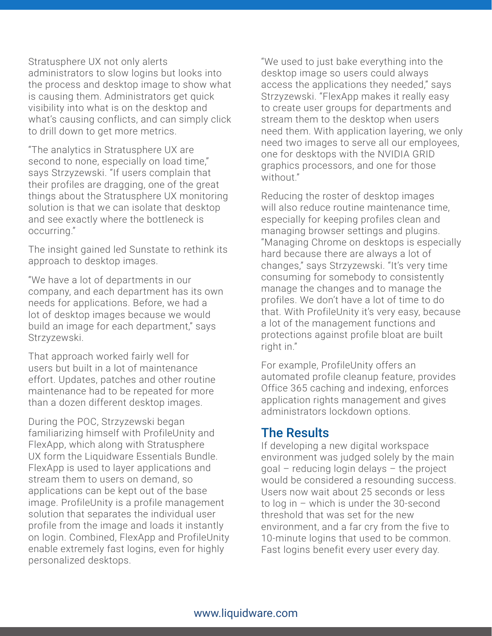Stratusphere UX not only alerts administrators to slow logins but looks into the process and desktop image to show what is causing them. Administrators get quick visibility into what is on the desktop and what's causing conflicts, and can simply click to drill down to get more metrics.

"The analytics in Stratusphere UX are second to none, especially on load time," says Strzyzewski. "If users complain that their profiles are dragging, one of the great things about the Stratusphere UX monitoring solution is that we can isolate that desktop and see exactly where the bottleneck is occurring."

The insight gained led Sunstate to rethink its approach to desktop images.

"We have a lot of departments in our company, and each department has its own needs for applications. Before, we had a lot of desktop images because we would build an image for each department," says Strzyzewski.

That approach worked fairly well for users but built in a lot of maintenance effort. Updates, patches and other routine maintenance had to be repeated for more than a dozen different desktop images.

During the POC, Strzyzewski began familiarizing himself with ProfileUnity and FlexApp, which along with Stratusphere UX form the Liquidware Essentials Bundle. FlexApp is used to layer applications and stream them to users on demand, so applications can be kept out of the base image. ProfileUnity is a profile management solution that separates the individual user profile from the image and loads it instantly on login. Combined, FlexApp and ProfileUnity enable extremely fast logins, even for highly personalized desktops.

"We used to just bake everything into the desktop image so users could always access the applications they needed," says Strzyzewski. "FlexApp makes it really easy to create user groups for departments and stream them to the desktop when users need them. With application layering, we only need two images to serve all our employees, one for desktops with the NVIDIA GRID graphics processors, and one for those without."

Reducing the roster of desktop images will also reduce routine maintenance time, especially for keeping profiles clean and managing browser settings and plugins. "Managing Chrome on desktops is especially hard because there are always a lot of changes," says Strzyzewski. "It's very time consuming for somebody to consistently manage the changes and to manage the profiles. We don't have a lot of time to do that. With ProfileUnity it's very easy, because a lot of the management functions and protections against profile bloat are built right in."

For example, ProfileUnity offers an automated profile cleanup feature, provides Office 365 caching and indexing, enforces application rights management and gives administrators lockdown options.

# The Results

If developing a new digital workspace environment was judged solely by the main goal – reducing login delays – the project would be considered a resounding success. Users now wait about 25 seconds or less to log in – which is under the 30-second threshold that was set for the new environment, and a far cry from the five to 10-minute logins that used to be common. Fast logins benefit every user every day.